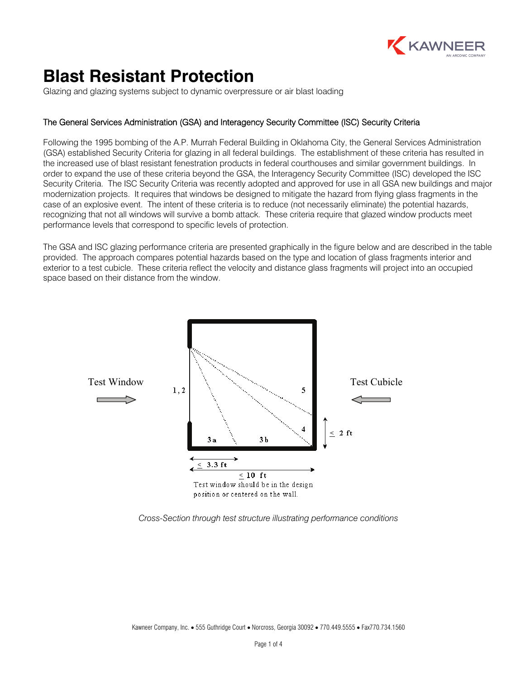

# **Blast Resistant Protection**

Glazing and glazing systems subject to dynamic overpressure or air blast loading

## The General Services Administration (GSA) and Interagency Security Committee (ISC) Security Criteria

Following the 1995 bombing of the A.P. Murrah Federal Building in Oklahoma City, the General Services Administration (GSA) established Security Criteria for glazing in all federal buildings. The establishment of these criteria has resulted in the increased use of blast resistant fenestration products in federal courthouses and similar government buildings. In order to expand the use of these criteria beyond the GSA, the Interagency Security Committee (ISC) developed the ISC Security Criteria. The ISC Security Criteria was recently adopted and approved for use in all GSA new buildings and major modernization projects. It requires that windows be designed to mitigate the hazard from flying glass fragments in the case of an explosive event. The intent of these criteria is to reduce (not necessarily eliminate) the potential hazards, recognizing that not all windows will survive a bomb attack. These criteria require that glazed window products meet performance levels that correspond to specific levels of protection.

The GSA and ISC glazing performance criteria are presented graphically in the figure below and are described in the table provided. The approach compares potential hazards based on the type and location of glass fragments interior and exterior to a test cubicle. These criteria reflect the velocity and distance glass fragments will project into an occupied space based on their distance from the window.



*Cross-Section through test structure illustrating performance conditions*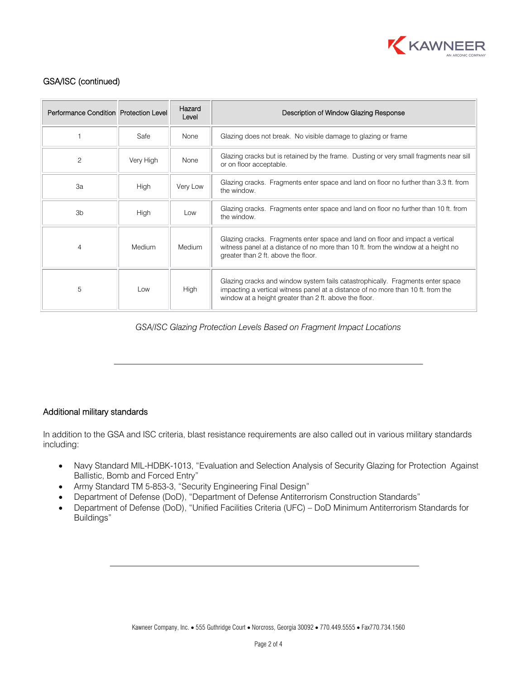

# GSA/ISC (continued)

| Performance Condition Protection Level |             | Hazard<br>Level | Description of Window Glazing Response                                                                                                                                                                                       |  |
|----------------------------------------|-------------|-----------------|------------------------------------------------------------------------------------------------------------------------------------------------------------------------------------------------------------------------------|--|
|                                        | Safe        | None            | Glazing does not break. No visible damage to glazing or frame                                                                                                                                                                |  |
| $\overline{c}$                         | Very High   | None            | Glazing cracks but is retained by the frame. Dusting or very small fragments near sill<br>or on floor acceptable.                                                                                                            |  |
| 3a                                     | <b>High</b> | Very Low        | Glazing cracks. Fragments enter space and land on floor no further than 3.3 ft. from<br>the window.                                                                                                                          |  |
| 3 <sub>b</sub>                         | <b>High</b> | Low             | Glazing cracks. Fragments enter space and land on floor no further than 10 ft. from<br>the window.                                                                                                                           |  |
| 4                                      | Medium      | Medium          | Glazing cracks. Fragments enter space and land on floor and impact a vertical<br>witness panel at a distance of no more than 10 ft. from the window at a height no<br>greater than 2 ft. above the floor.                    |  |
| 5                                      | Low         | High            | Glazing cracks and window system fails catastrophically. Fragments enter space<br>impacting a vertical witness panel at a distance of no more than 10 ft. from the<br>window at a height greater than 2 ft. above the floor. |  |

*GSA/ISC Glazing Protection Levels Based on Fragment Impact Locations*

### Additional military standards

In addition to the GSA and ISC criteria, blast resistance requirements are also called out in various military standards including:

- Navy Standard MIL-HDBK-1013, "Evaluation and Selection Analysis of Security Glazing for Protection Against Ballistic, Bomb and Forced Entry"
- Army Standard TM 5-853-3, "Security Engineering Final Design"
- x Department of Defense (DoD), "Department of Defense Antiterrorism Construction Standards"
- Department of Defense (DoD), "Unified Facilities Criteria (UFC) DoD Minimum Antiterrorism Standards for Buildings"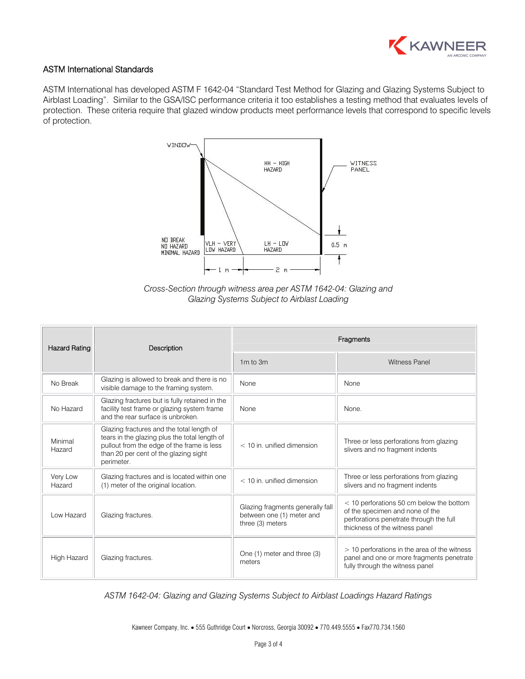

#### ASTM International Standards

ASTM International has developed ASTM F 1642-04 "Standard Test Method for Glazing and Glazing Systems Subject to Airblast Loading". Similar to the GSA/ISC performance criteria it too establishes a testing method that evaluates levels of protection. These criteria require that glazed window products meet performance levels that correspond to specific levels of protection.



*Cross-Section through witness area per ASTM 1642-04: Glazing and Glazing Systems Subject to Airblast Loading*

| <b>Hazard Rating</b> | Description                                                                                                                                                                                     | Fragments                                                                         |                                                                                                                                                          |  |
|----------------------|-------------------------------------------------------------------------------------------------------------------------------------------------------------------------------------------------|-----------------------------------------------------------------------------------|----------------------------------------------------------------------------------------------------------------------------------------------------------|--|
|                      |                                                                                                                                                                                                 | $1m$ to $3m$                                                                      | <b>Witness Panel</b>                                                                                                                                     |  |
| No Break             | Glazing is allowed to break and there is no<br>visible damage to the framing system.                                                                                                            | None                                                                              | None                                                                                                                                                     |  |
| No Hazard            | Glazing fractures but is fully retained in the<br>facility test frame or glazing system frame<br>and the rear surface is unbroken.                                                              | <b>None</b>                                                                       | None.                                                                                                                                                    |  |
| Minimal<br>Hazard    | Glazing fractures and the total length of<br>tears in the glazing plus the total length of<br>pullout from the edge of the frame is less<br>than 20 per cent of the glazing sight<br>perimeter. | $<$ 10 in. unified dimension                                                      | Three or less perforations from glazing<br>slivers and no fragment indents                                                                               |  |
| Very Low<br>Hazard   | Glazing fractures and is located within one<br>(1) meter of the original location.                                                                                                              | $<$ 10 in. unified dimension                                                      | Three or less perforations from glazing<br>slivers and no fragment indents                                                                               |  |
| Low Hazard           | Glazing fractures.                                                                                                                                                                              | Glazing fragments generally fall<br>between one (1) meter and<br>three (3) meters | < 10 perforations 50 cm below the bottom<br>of the specimen and none of the<br>perforations penetrate through the full<br>thickness of the witness panel |  |
| High Hazard          | Glazing fractures.                                                                                                                                                                              | One (1) meter and three (3)<br>meters                                             | > 10 perforations in the area of the witness<br>panel and one or more fragments penetrate<br>fully through the witness panel                             |  |

*ASTM 1642-04: Glazing and Glazing Systems Subject to Airblast Loadings Hazard Ratings* 

Kawneer Company, Inc. • 555 Guthridge Court • Norcross, Georgia 30092 • 770.449.5555 • Fax770.734.1560